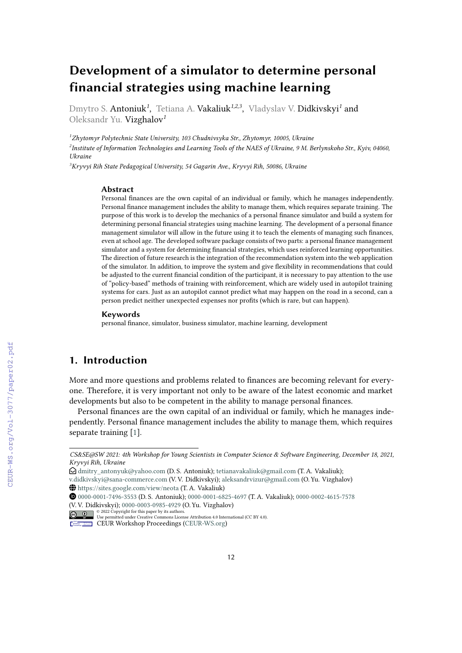# **Development of a simulator to determine personal financial strategies using machine learning**

Dmytro S. **Antoniuk<sup>1</sup>, Tetiana A. Vakaliuk<sup>1,2,3</sup>, Vladyslav V. Didkivskyi<sup>1</sup> and** Oleksandr Yu. Vizghalov*<sup>1</sup>*

*<sup>1</sup>Zhytomyr Polytechnic State University, 103 Chudnivsyka Str., Zhytomyr, 10005, Ukraine 2 Institute of Information Technologies and Learning Tools of the NAES of Ukraine, 9 M. Berlynskoho Str., Kyiv, 04060, Ukraine*

*<sup>3</sup>Kryvyi Rih State Pedagogical University, 54 Gagarin Ave., Kryvyi Rih, 50086, Ukraine*

#### **Abstract**

Personal finances are the own capital of an individual or family, which he manages independently. Personal finance management includes the ability to manage them, which requires separate training. The purpose of this work is to develop the mechanics of a personal finance simulator and build a system for determining personal financial strategies using machine learning. The development of a personal finance management simulator will allow in the future using it to teach the elements of managing such finances, even at school age. The developed software package consists of two parts: a personal finance management simulator and a system for determining financial strategies, which uses reinforced learning opportunities. The direction of future research is the integration of the recommendation system into the web application of the simulator. In addition, to improve the system and give flexibility in recommendations that could be adjusted to the current financial condition of the participant, it is necessary to pay attention to the use of "policy-based" methods of training with reinforcement, which are widely used in autopilot training systems for cars. Just as an autopilot cannot predict what may happen on the road in a second, can a person predict neither unexpected expenses nor profits (which is rare, but can happen).

#### **Keywords**

personal finance, simulator, business simulator, machine learning, development

# **1. Introduction**

More and more questions and problems related to finances are becoming relevant for everyone. Therefore, it is very important not only to be aware of the latest economic and market developments but also to be competent in the ability to manage personal finances.

Personal finances are the own capital of an individual or family, which he manages independently. Personal finance management includes the ability to manage them, which requires separate training [\[1\]](#page--1-0).

*Kryvyi Rih, Ukraine CS&SE@SW 2021: 4th Workshop for Young Scientists in Computer Science & Software Engineering, December 18, 2021,*

 $\bigcirc$ [dmitry\\_antonyuk@yahoo.com](mailto:dmitry_antonyuk@yahoo.com) (D. S. Antoniuk); [tetianavakaliuk@gmail.com](mailto:tetianavakaliuk@gmail.com) (T. A. Vakaliuk);

[v.didkivskyi@sana-commerce.com](mailto:v.didkivskyi@sana-commerce.com) (V. V. Didkivskyi); [aleksandrvizur@gmail.com](mailto:aleksandrvizur@gmail.com) (O. Yu. Vizghalov) ~ <https://sites.google.com/view/neota> (T. A. Vakaliuk)

[0000-0001-7496-3553](https://orcid.org/0000-0001-7496-3553) (D. S. Antoniuk); [0000-0001-6825-4697](https://orcid.org/0000-0001-6825-4697) (T. A. Vakaliuk); [0000-0002-4615-7578](https://orcid.org/0000-0002-4615-7578) (V. V. Didkivskyi); [0000-0003-0985-4929](https://orcid.org/0000-0003-0985-4929) (O. Yu. Vizghalov)

<sup>©</sup> 2022 Copyright for this paper by its authors. Use permitted under Creative Commons License Attribution 4.0 International (CC BY 4.0).

CEUR Workshop [Proceedings](http://ceur-ws.org) [\(CEUR-WS.org\)](http://ceur-ws.org)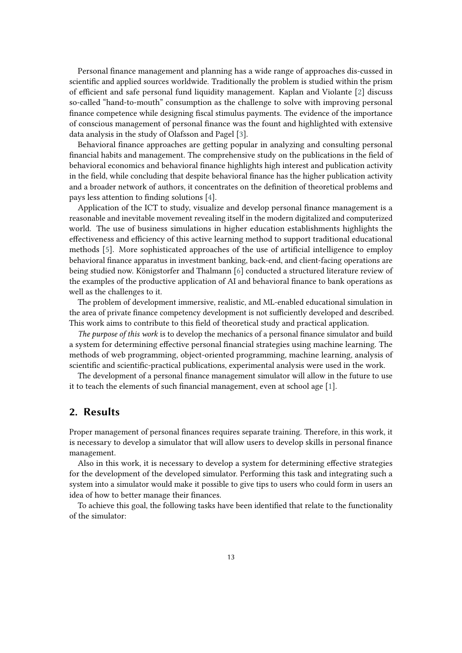Personal finance management and planning has a wide range of approaches dis-cussed in scientific and applied sources worldwide. Traditionally the problem is studied within the prism of efficient and safe personal fund liquidity management. Kaplan and Violante [\[2\]](#page-14-0) discuss so-called "hand-to-mouth" consumption as the challenge to solve with improving personal finance competence while designing fiscal stimulus payments. The evidence of the importance of conscious management of personal finance was the fount and highlighted with extensive data analysis in the study of Olafsson and Pagel [\[3\]](#page-14-1).

Behavioral finance approaches are getting popular in analyzing and consulting personal financial habits and management. The comprehensive study on the publications in the field of behavioral economics and behavioral finance highlights high interest and publication activity in the field, while concluding that despite behavioral finance has the higher publication activity and a broader network of authors, it concentrates on the definition of theoretical problems and pays less attention to finding solutions [\[4\]](#page-14-2).

Application of the ICT to study, visualize and develop personal finance management is a reasonable and inevitable movement revealing itself in the modern digitalized and computerized world. The use of business simulations in higher education establishments highlights the effectiveness and efficiency of this active learning method to support traditional educational methods [\[5\]](#page-14-3). More sophisticated approaches of the use of artificial intelligence to employ behavioral finance apparatus in investment banking, back-end, and client-facing operations are being studied now. Königstorfer and Thalmann [\[6\]](#page-14-4) conducted a structured literature review of the examples of the productive application of AI and behavioral finance to bank operations as well as the challenges to it.

The problem of development immersive, realistic, and ML-enabled educational simulation in the area of private finance competency development is not sufficiently developed and described. This work aims to contribute to this field of theoretical study and practical application.

*The purpose of this work* is to develop the mechanics of a personal finance simulator and build a system for determining effective personal financial strategies using machine learning. The methods of web programming, object-oriented programming, machine learning, analysis of scientific and scientific-practical publications, experimental analysis were used in the work.

The development of a personal finance management simulator will allow in the future to use it to teach the elements of such financial management, even at school age [\[1\]](#page-14-5).

### **2. Results**

Proper management of personal finances requires separate training. Therefore, in this work, it is necessary to develop a simulator that will allow users to develop skills in personal finance management.

Also in this work, it is necessary to develop a system for determining effective strategies for the development of the developed simulator. Performing this task and integrating such a system into a simulator would make it possible to give tips to users who could form in users an idea of how to better manage their finances.

To achieve this goal, the following tasks have been identified that relate to the functionality of the simulator: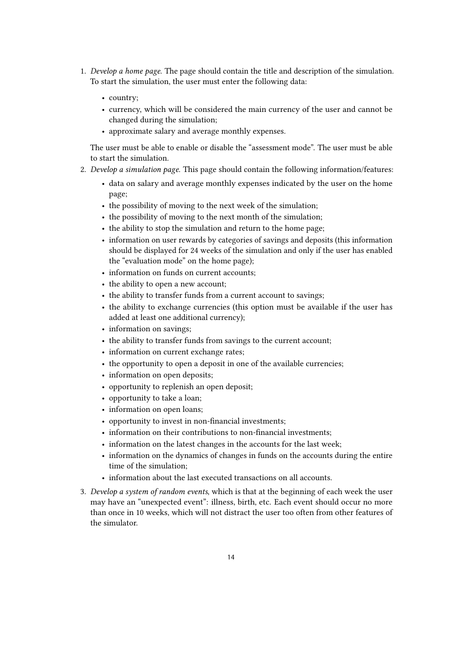- 1. *Develop a home page*. The page should contain the title and description of the simulation. To start the simulation, the user must enter the following data:
	- country;
	- currency, which will be considered the main currency of the user and cannot be changed during the simulation;
	- approximate salary and average monthly expenses.

The user must be able to enable or disable the "assessment mode". The user must be able to start the simulation.

- 2. *Develop a simulation page*. This page should contain the following information/features:
	- data on salary and average monthly expenses indicated by the user on the home page;
	- the possibility of moving to the next week of the simulation;
	- the possibility of moving to the next month of the simulation;
	- the ability to stop the simulation and return to the home page;
	- information on user rewards by categories of savings and deposits (this information should be displayed for 24 weeks of the simulation and only if the user has enabled the "evaluation mode" on the home page);
	- information on funds on current accounts;
	- the ability to open a new account;
	- the ability to transfer funds from a current account to savings;
	- the ability to exchange currencies (this option must be available if the user has added at least one additional currency);
	- information on savings;
	- the ability to transfer funds from savings to the current account;
	- information on current exchange rates;
	- the opportunity to open a deposit in one of the available currencies;
	- information on open deposits;
	- opportunity to replenish an open deposit;
	- opportunity to take a loan;
	- information on open loans;
	- opportunity to invest in non-financial investments;
	- information on their contributions to non-financial investments;
	- information on the latest changes in the accounts for the last week;
	- information on the dynamics of changes in funds on the accounts during the entire time of the simulation;
	- information about the last executed transactions on all accounts.
- 3. *Develop a system of random events*, which is that at the beginning of each week the user may have an "unexpected event": illness, birth, etc. Each event should occur no more than once in 10 weeks, which will not distract the user too often from other features of the simulator.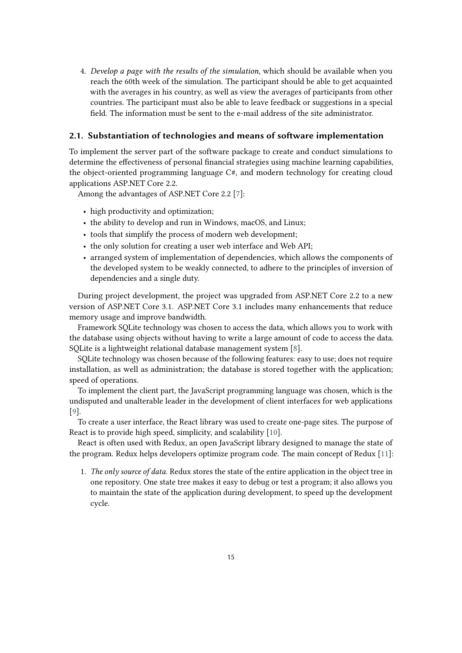4. *Develop a page with the results of the simulation*, which should be available when you reach the 60th week of the simulation. The participant should be able to get acquainted with the averages in his country, as well as view the averages of participants from other countries. The participant must also be able to leave feedback or suggestions in a special field. The information must be sent to the e-mail address of the site administrator.

#### **2.1. Substantiation of technologies and means of software implementation**

To implement the server part of the software package to create and conduct simulations to determine the effectiveness of personal financial strategies using machine learning capabilities, the object-oriented programming language C#, and modern technology for creating cloud applications ASP.NET Core 2.2.

Among the advantages of ASP.NET Core 2.2 [\[7\]](#page-14-6):

- high productivity and optimization;
- the ability to develop and run in Windows, macOS, and Linux;
- tools that simplify the process of modern web development;
- the only solution for creating a user web interface and Web API;
- arranged system of implementation of dependencies, which allows the components of the developed system to be weakly connected, to adhere to the principles of inversion of dependencies and a single duty.

During project development, the project was upgraded from ASP.NET Core 2.2 to a new version of ASP.NET Core 3.1. ASP.NET Core 3.1 includes many enhancements that reduce memory usage and improve bandwidth.

Framework SQLite technology was chosen to access the data, which allows you to work with the database using objects without having to write a large amount of code to access the data. SQLite is a lightweight relational database management system [\[8\]](#page-14-7).

SQLite technology was chosen because of the following features: easy to use; does not require installation, as well as administration; the database is stored together with the application; speed of operations.

To implement the client part, the JavaScript programming language was chosen, which is the undisputed and unalterable leader in the development of client interfaces for web applications [\[9\]](#page-14-8).

To create a user interface, the React library was used to create one-page sites. The purpose of React is to provide high speed, simplicity, and scalability [\[10\]](#page-14-9).

React is often used with Redux, an open JavaScript library designed to manage the state of the program. Redux helps developers optimize program code. The main concept of Redux [\[11\]](#page-14-10):

1. *The only source of data*. Redux stores the state of the entire application in the object tree in one repository. One state tree makes it easy to debug or test a program; it also allows you to maintain the state of the application during development, to speed up the development cycle.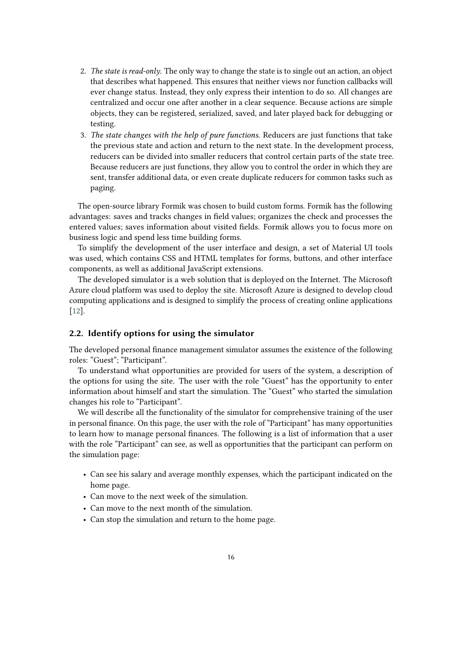- 2. *The state is read-only*. The only way to change the state is to single out an action, an object that describes what happened. This ensures that neither views nor function callbacks will ever change status. Instead, they only express their intention to do so. All changes are centralized and occur one after another in a clear sequence. Because actions are simple objects, they can be registered, serialized, saved, and later played back for debugging or testing.
- 3. *The state changes with the help of pure functions*. Reducers are just functions that take the previous state and action and return to the next state. In the development process, reducers can be divided into smaller reducers that control certain parts of the state tree. Because reducers are just functions, they allow you to control the order in which they are sent, transfer additional data, or even create duplicate reducers for common tasks such as paging.

The open-source library Formik was chosen to build custom forms. Formik has the following advantages: saves and tracks changes in field values; organizes the check and processes the entered values; saves information about visited fields. Formik allows you to focus more on business logic and spend less time building forms.

To simplify the development of the user interface and design, a set of Material UI tools was used, which contains CSS and HTML templates for forms, buttons, and other interface components, as well as additional JavaScript extensions.

The developed simulator is a web solution that is deployed on the Internet. The Microsoft Azure cloud platform was used to deploy the site. Microsoft Azure is designed to develop cloud computing applications and is designed to simplify the process of creating online applications [\[12\]](#page-14-11).

#### **2.2. Identify options for using the simulator**

The developed personal finance management simulator assumes the existence of the following roles: "Guest"; "Participant".

To understand what opportunities are provided for users of the system, a description of the options for using the site. The user with the role "Guest" has the opportunity to enter information about himself and start the simulation. The "Guest" who started the simulation changes his role to "Participant".

We will describe all the functionality of the simulator for comprehensive training of the user in personal finance. On this page, the user with the role of "Participant" has many opportunities to learn how to manage personal finances. The following is a list of information that a user with the role "Participant" can see, as well as opportunities that the participant can perform on the simulation page:

- Can see his salary and average monthly expenses, which the participant indicated on the home page.
- Can move to the next week of the simulation.
- Can move to the next month of the simulation.
- Can stop the simulation and return to the home page.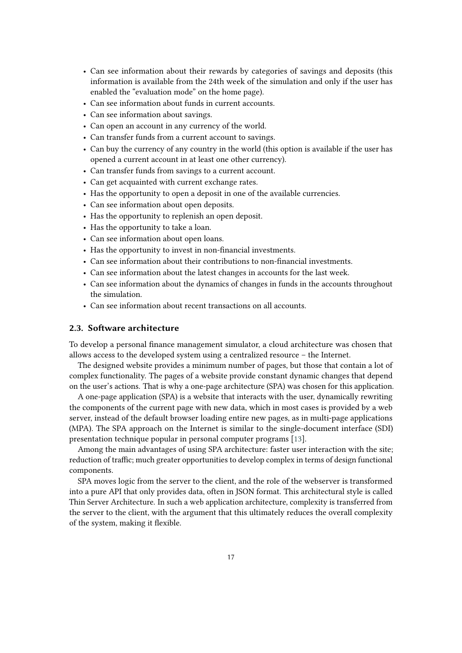- Can see information about their rewards by categories of savings and deposits (this information is available from the 24th week of the simulation and only if the user has enabled the "evaluation mode" on the home page).
- Can see information about funds in current accounts.
- Can see information about savings.
- Can open an account in any currency of the world.
- Can transfer funds from a current account to savings.
- Can buy the currency of any country in the world (this option is available if the user has opened a current account in at least one other currency).
- Can transfer funds from savings to a current account.
- Can get acquainted with current exchange rates.
- Has the opportunity to open a deposit in one of the available currencies.
- Can see information about open deposits.
- Has the opportunity to replenish an open deposit.
- Has the opportunity to take a loan.
- Can see information about open loans.
- Has the opportunity to invest in non-financial investments.
- Can see information about their contributions to non-financial investments.
- Can see information about the latest changes in accounts for the last week.
- Can see information about the dynamics of changes in funds in the accounts throughout the simulation.
- Can see information about recent transactions on all accounts.

#### **2.3. Software architecture**

To develop a personal finance management simulator, a cloud architecture was chosen that allows access to the developed system using a centralized resource – the Internet.

The designed website provides a minimum number of pages, but those that contain a lot of complex functionality. The pages of a website provide constant dynamic changes that depend on the user's actions. That is why a one-page architecture (SPA) was chosen for this application.

A one-page application (SPA) is a website that interacts with the user, dynamically rewriting the components of the current page with new data, which in most cases is provided by a web server, instead of the default browser loading entire new pages, as in multi-page applications (MPA). The SPA approach on the Internet is similar to the single-document interface (SDI) presentation technique popular in personal computer programs [\[13\]](#page-14-12).

Among the main advantages of using SPA architecture: faster user interaction with the site; reduction of traffic; much greater opportunities to develop complex in terms of design functional components.

SPA moves logic from the server to the client, and the role of the webserver is transformed into a pure API that only provides data, often in JSON format. This architectural style is called Thin Server Architecture. In such a web application architecture, complexity is transferred from the server to the client, with the argument that this ultimately reduces the overall complexity of the system, making it flexible.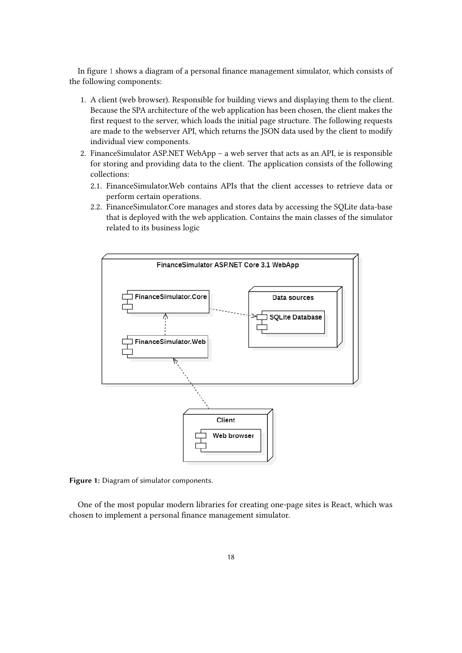In figure [1](#page-6-0) shows a diagram of a personal finance management simulator, which consists of the following components:

- 1. A client (web browser). Responsible for building views and displaying them to the client. Because the SPA architecture of the web application has been chosen, the client makes the first request to the server, which loads the initial page structure. The following requests are made to the webserver API, which returns the JSON data used by the client to modify individual view components.
- 2. FinanceSimulator ASP.NET WebApp a web server that acts as an API, ie is responsible for storing and providing data to the client. The application consists of the following collections:
	- 2.1. FinanceSimulator.Web contains APIs that the client accesses to retrieve data or perform certain operations.
	- 2.2. FinanceSimulator.Core manages and stores data by accessing the SQLite data-base that is deployed with the web application. Contains the main classes of the simulator related to its business logic



<span id="page-6-0"></span>**Figure 1:** Diagram of simulator components.

One of the most popular modern libraries for creating one-page sites is React, which was chosen to implement a personal finance management simulator.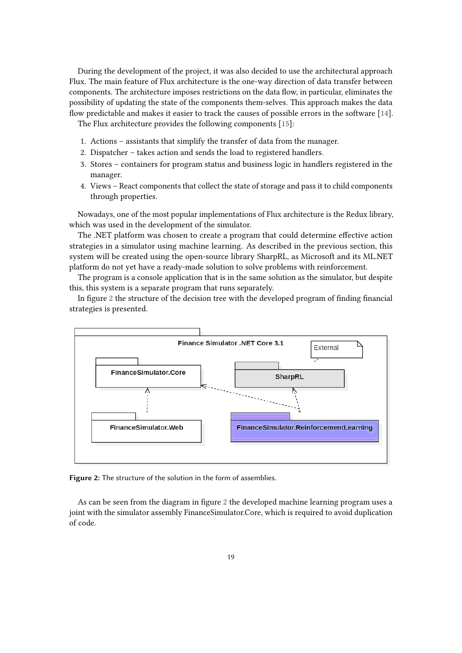During the development of the project, it was also decided to use the architectural approach Flux. The main feature of Flux architecture is the one-way direction of data transfer between components. The architecture imposes restrictions on the data flow, in particular, eliminates the possibility of updating the state of the components them-selves. This approach makes the data flow predictable and makes it easier to track the causes of possible errors in the software [\[14\]](#page-14-13).

The Flux architecture provides the following components [\[15\]](#page-14-14):

- 1. Actions assistants that simplify the transfer of data from the manager.
- 2. Dispatcher takes action and sends the load to registered handlers.
- 3. Stores containers for program status and business logic in handlers registered in the manager.
- 4. Views React components that collect the state of storage and pass it to child components through properties.

Nowadays, one of the most popular implementations of Flux architecture is the Redux library, which was used in the development of the simulator.

The .NET platform was chosen to create a program that could determine effective action strategies in a simulator using machine learning. As described in the previous section, this system will be created using the open-source library SharpRL, as Microsoft and its ML.NET platform do not yet have a ready-made solution to solve problems with reinforcement.

The program is a console application that is in the same solution as the simulator, but despite this, this system is a separate program that runs separately.

In figure [2](#page-7-0) the structure of the decision tree with the developed program of finding financial strategies is presented.



<span id="page-7-0"></span>**Figure 2:** The structure of the solution in the form of assemblies.

As can be seen from the diagram in figure [2](#page-7-0) the developed machine learning program uses a joint with the simulator assembly FinanceSimulator.Core, which is required to avoid duplication of code.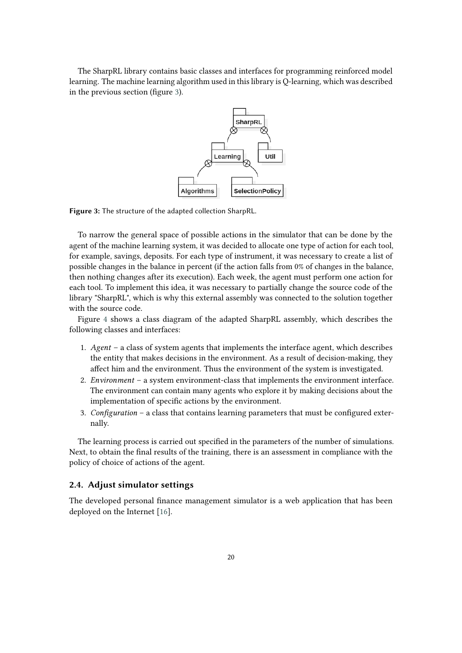The SharpRL library contains basic classes and interfaces for programming reinforced model learning. The machine learning algorithm used in this library is Q-learning, which was described in the previous section (figure [3\)](#page-8-0).



<span id="page-8-0"></span>**Figure 3:** The structure of the adapted collection SharpRL.

To narrow the general space of possible actions in the simulator that can be done by the agent of the machine learning system, it was decided to allocate one type of action for each tool, for example, savings, deposits. For each type of instrument, it was necessary to create a list of possible changes in the balance in percent (if the action falls from 0% of changes in the balance, then nothing changes after its execution). Each week, the agent must perform one action for each tool. To implement this idea, it was necessary to partially change the source code of the library "SharpRL", which is why this external assembly was connected to the solution together with the source code.

Figure [4](#page-9-0) shows a class diagram of the adapted SharpRL assembly, which describes the following classes and interfaces:

- 1. *Agent* a class of system agents that implements the interface agent, which describes the entity that makes decisions in the environment. As a result of decision-making, they affect him and the environment. Thus the environment of the system is investigated.
- 2. *Environment* a system environment-class that implements the environment interface. The environment can contain many agents who explore it by making decisions about the implementation of specific actions by the environment.
- 3. *Configuration* a class that contains learning parameters that must be configured externally.

The learning process is carried out specified in the parameters of the number of simulations. Next, to obtain the final results of the training, there is an assessment in compliance with the policy of choice of actions of the agent.

#### **2.4. Adjust simulator settings**

The developed personal finance management simulator is a web application that has been deployed on the Internet [\[16\]](#page-14-15).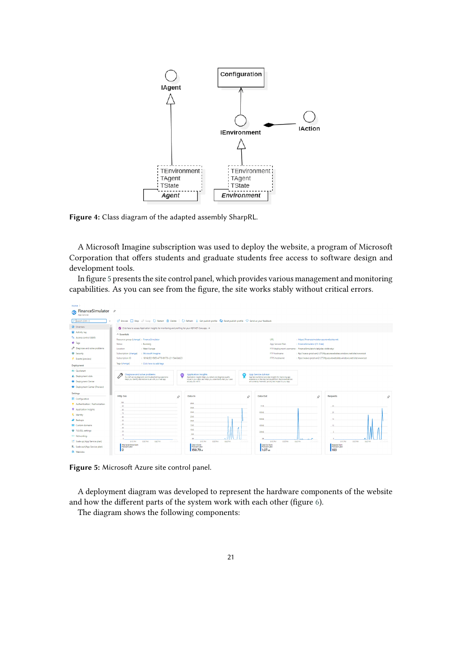

<span id="page-9-0"></span>**Figure 4:** Class diagram of the adapted assembly SharpRL.

A Microsoft Imagine subscription was used to deploy the website, a program of Microsoft Corporation that offers students and graduate students free access to software design and development tools.

In figure [5](#page-9-1) presents the site control panel, which provides various management and monitoring capabilities. As you can see from the figure, the site works stably without critical errors.



<span id="page-9-1"></span>**Figure 5:** Microsoft Azure site control panel.

A deployment diagram was developed to represent the hardware components of the website and how the different parts of the system work with each other (figure [6\)](#page-10-0).

The diagram shows the following components: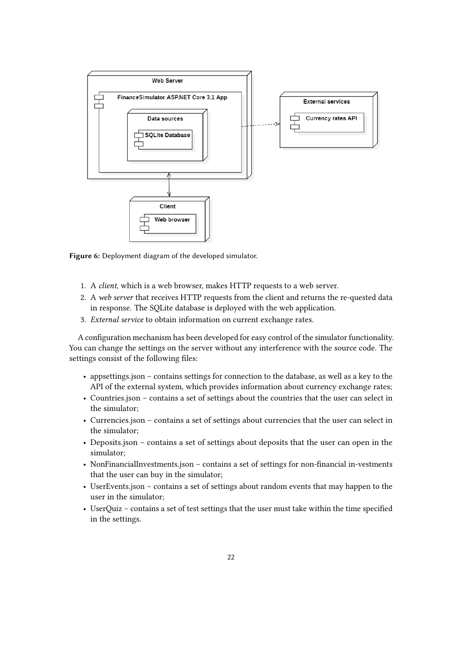

<span id="page-10-0"></span>**Figure 6:** Deployment diagram of the developed simulator.

- 1. A *client*, which is a web browser, makes HTTP requests to a web server.
- 2. A *web server* that receives HTTP requests from the client and returns the re-quested data in response. The SQLite database is deployed with the web application.
- 3. *External service* to obtain information on current exchange rates.

A configuration mechanism has been developed for easy control of the simulator functionality. You can change the settings on the server without any interference with the source code. The settings consist of the following files:

- appsettings.json contains settings for connection to the database, as well as a key to the API of the external system, which provides information about currency exchange rates;
- Countries.json contains a set of settings about the countries that the user can select in the simulator;
- Currencies.json contains a set of settings about currencies that the user can select in the simulator;
- Deposits.json contains a set of settings about deposits that the user can open in the simulator;
- NonFinancialInvestments.json contains a set of settings for non-financial in-vestments that the user can buy in the simulator;
- UserEvents.json contains a set of settings about random events that may happen to the user in the simulator;
- UserQuiz contains a set of test settings that the user must take within the time specified in the settings.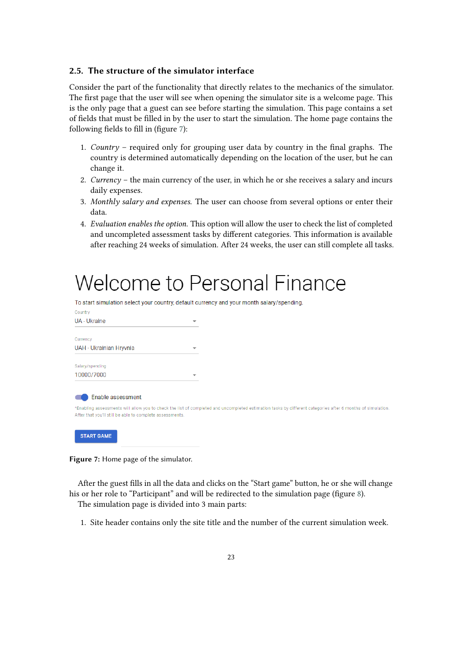#### **2.5. The structure of the simulator interface**

Consider the part of the functionality that directly relates to the mechanics of the simulator. The first page that the user will see when opening the simulator site is a welcome page. This is the only page that a guest can see before starting the simulation. This page contains a set of fields that must be filled in by the user to start the simulation. The home page contains the following fields to fill in (figure [7\)](#page-11-0):

- 1. *Country* required only for grouping user data by country in the final graphs. The country is determined automatically depending on the location of the user, but he can change it.
- 2. *Currency* the main currency of the user, in which he or she receives a salary and incurs daily expenses.
- 3. *Monthly salary and expenses*. The user can choose from several options or enter their data.
- 4. *Evaluation enables the option*. This option will allow the user to check the list of completed and uncompleted assessment tasks by different categories. This information is available after reaching 24 weeks of simulation. After 24 weeks, the user can still complete all tasks.

# **Welcome to Personal Finance**

To start simulation select your country, default currency and your month salary/spending.

| Country                                                 |                          |                                                                                                                                                           |
|---------------------------------------------------------|--------------------------|-----------------------------------------------------------------------------------------------------------------------------------------------------------|
| UA - Ukraine                                            | ▼                        |                                                                                                                                                           |
| Currency                                                |                          |                                                                                                                                                           |
| UAH - Ukrainian Hryvnia                                 | ▼                        |                                                                                                                                                           |
| Salary/spending                                         |                          |                                                                                                                                                           |
| 10000/7000                                              | $\overline{\phantom{a}}$ |                                                                                                                                                           |
| Enable assessment                                       |                          |                                                                                                                                                           |
| After that you'll still be able to complete assessments |                          | *Enabling assessments will allow you to check the list of completed and uncompleted estimation tasks by different categories after 6 months of simulation |

<span id="page-11-0"></span>

**Figure 7:** Home page of the simulator.

After the guest fills in all the data and clicks on the "Start game" button, he or she will change his or her role to "Participant" and will be redirected to the simulation page (figure [8\)](#page-12-0).

The simulation page is divided into 3 main parts:

1. Site header contains only the site title and the number of the current simulation week.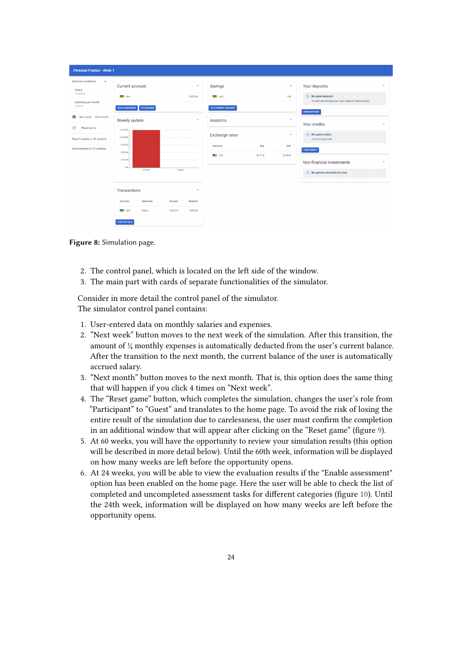| <b>Personal Finance - Week 1</b>                                                                                                 |                                                                                             |                                                          |                                                          |                |                                                                       |                                                                                                                                                    |                      |
|----------------------------------------------------------------------------------------------------------------------------------|---------------------------------------------------------------------------------------------|----------------------------------------------------------|----------------------------------------------------------|----------------|-----------------------------------------------------------------------|----------------------------------------------------------------------------------------------------------------------------------------------------|----------------------|
| Selected conditions<br>$\hat{\phantom{a}}$<br>Salary<br>$+15000e$<br>Spending per month<br>$-90008$<br>Ĥ<br>Next week Next month | Current account<br><b>UAH</b><br><b>OPEN ACCCOUNT</b><br><b>TO SAVINGS</b><br>Weekly update | $\wedge$<br>15000 0<br>$\wedge$                          | Savings<br><b>UAH</b><br>TO CURRENT ACCOUNT<br>Analytics |                | $\widehat{\phantom{a}}$<br>00 <sup>o</sup><br>$\widehat{\phantom{a}}$ | Your deposits<br>(i) No open deposits<br>To start depositing press 'Open deposit' button below!<br><b>OPEN DEPOSIT</b>                             | $\wedge$             |
| C<br>Reset game<br>Report results in 59 week(s)<br>Assessments in 23 week(s)                                                     | $15,000B -$<br>12,000 0 -<br>$9,0000 -$<br>6,0000.<br>$3,000B -$<br>$08+$<br>Income         | Output                                                   | <b>Exchange rates</b><br>Currency<br><b>E</b> USD        | Buy<br>28.51 0 | $\widehat{\phantom{a}}$<br>Sell<br>29.088                             | Your credits<br>(i) No open credits.<br>You are doing well!<br><b>TAKE CREDIT</b><br>Non financial investments<br>in No options available for now. | $\wedge$<br>$\wedge$ |
|                                                                                                                                  | <b>Transactions</b><br>Operation<br>Currency<br>Salary<br>$-$ UAH<br>VIEW DETAILS           | $\wedge$<br><b>Balance</b><br>Amount<br>150008<br>150008 |                                                          |                |                                                                       |                                                                                                                                                    |                      |

<span id="page-12-0"></span>**Figure 8:** Simulation page.

- 2. The control panel, which is located on the left side of the window.
- 3. The main part with cards of separate functionalities of the simulator.

Consider in more detail the control panel of the simulator. The simulator control panel contains:

- 1. User-entered data on monthly salaries and expenses.
- 2. "Next week" button moves to the next week of the simulation. After this transition, the amount of ¼ monthly expenses is automatically deducted from the user's current balance. After the transition to the next month, the current balance of the user is automatically accrued salary.
- 3. "Next month" button moves to the next month. That is, this option does the same thing that will happen if you click 4 times on "Next week".
- 4. The "Reset game" button, which completes the simulation, changes the user's role from "Participant" to "Guest" and translates to the home page. To avoid the risk of losing the entire result of the simulation due to carelessness, the user must confirm the completion in an additional window that will appear after clicking on the "Reset game" (figure [9\)](#page-13-0).
- 5. At 60 weeks, you will have the opportunity to review your simulation results (this option will be described in more detail below). Until the 60th week, information will be displayed on how many weeks are left before the opportunity opens.
- 6. At 24 weeks, you will be able to view the evaluation results if the "Enable assessment" option has been enabled on the home page. Here the user will be able to check the list of completed and uncompleted assessment tasks for different categories (figure [10\)](#page-13-1). Until the 24th week, information will be displayed on how many weeks are left before the opportunity opens.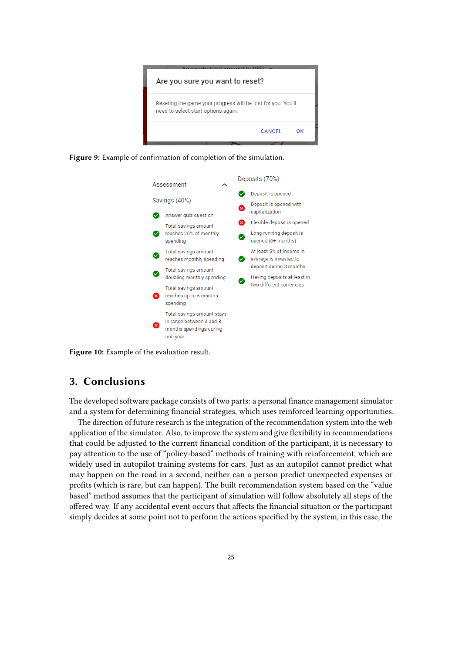

**Figure 9:** Example of confirmation of completion of the simulation.

<span id="page-13-0"></span>

**Figure 10:** Example of the evaluation result.

# <span id="page-13-1"></span>**3. Conclusions**

The developed software package consists of two parts: a personal finance management simulator and a system for determining financial strategies, which uses reinforced learning opportunities.

The direction of future research is the integration of the recommendation system into the web application of the simulator. Also, to improve the system and give flexibility in recommendations that could be adjusted to the current financial condition of the participant, it is necessary to pay attention to the use of "policy-based" methods of training with reinforcement, which are widely used in autopilot training systems for cars. Just as an autopilot cannot predict what may happen on the road in a second, neither can a person predict unexpected expenses or profits (which is rare, but can happen). The built recommendation system based on the "value based" method assumes that the participant of simulation will follow absolutely all steps of the offered way. If any accidental event occurs that affects the financial situation or the participant simply decides at some point not to perform the actions specified by the system, in this case, the